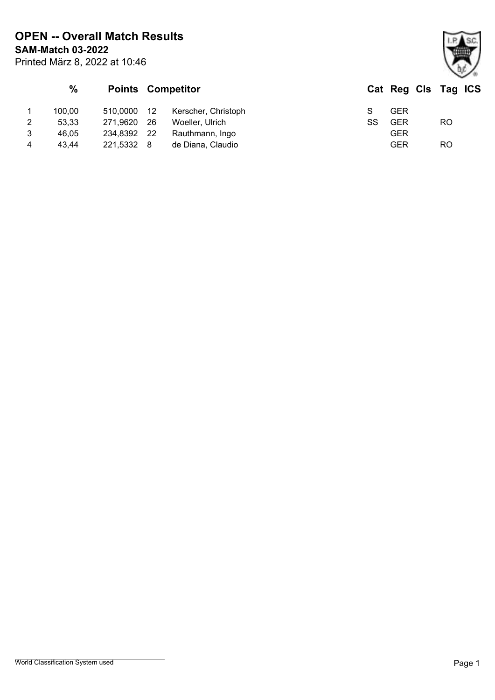Printed März 8, 2022 at 10:46 **SAM-Match 03-2022 OPEN -- Overall Match Results**

|   | $\%$   |             | <b>Points Competitor</b> |                     |    | Cat Reg Cls Tag ICS |     |
|---|--------|-------------|--------------------------|---------------------|----|---------------------|-----|
|   | 100.00 | 510.0000    | - 12                     | Kerscher, Christoph |    | <b>GER</b>          |     |
| 2 | 53,33  | 271.9620    | -26                      | Woeller, Ulrich     | SS | <b>GER</b>          | RO. |
| 3 | 46.05  | 234,8392 22 |                          | Rauthmann, Ingo     |    | <b>GER</b>          |     |
| 4 | 43.44  | 221.5332 8  |                          | de Diana, Claudio   |    | <b>GER</b>          | RO  |

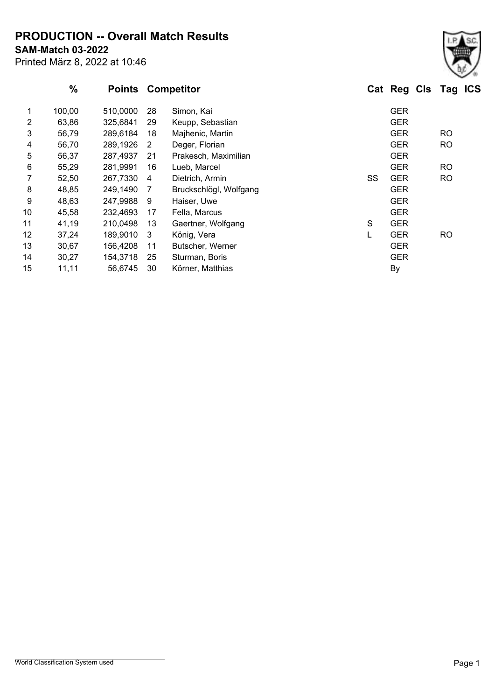**PRODUCTION -- Overall Match Results**

**SAM-Match 03-2022**

Printed März 8, 2022 at 10:46

|    | %      | <b>Points</b> |    | <b>Competitor</b>      |    | Cat Reg Cls Tag ICS |           |  |
|----|--------|---------------|----|------------------------|----|---------------------|-----------|--|
| 1. | 100,00 | 510,0000      | 28 | Simon, Kai             |    | <b>GER</b>          |           |  |
| 2  | 63,86  | 325,6841      | 29 | Keupp, Sebastian       |    | <b>GER</b>          |           |  |
| 3  | 56,79  | 289,6184      | 18 | Majhenic, Martin       |    | <b>GER</b>          | <b>RO</b> |  |
| 4  | 56,70  | 289,1926      | 2  | Deger, Florian         |    | <b>GER</b>          | <b>RO</b> |  |
| 5  | 56,37  | 287,4937      | 21 | Prakesch, Maximilian   |    | <b>GER</b>          |           |  |
| 6  | 55,29  | 281,9991      | 16 | Lueb, Marcel           |    | <b>GER</b>          | <b>RO</b> |  |
| 7  | 52,50  | 267,7330      | 4  | Dietrich, Armin        | SS | <b>GER</b>          | <b>RO</b> |  |
| 8  | 48,85  | 249,1490      | 7  | Bruckschlögl, Wolfgang |    | <b>GER</b>          |           |  |
| 9  | 48,63  | 247,9988      | 9  | Haiser, Uwe            |    | <b>GER</b>          |           |  |
| 10 | 45,58  | 232,4693      | 17 | Fella, Marcus          |    | <b>GER</b>          |           |  |
| 11 | 41,19  | 210,0498      | 13 | Gaertner, Wolfgang     | S  | <b>GER</b>          |           |  |
| 12 | 37,24  | 189,9010      | 3  | König, Vera            | L  | <b>GER</b>          | <b>RO</b> |  |
| 13 | 30,67  | 156,4208      | 11 | Butscher, Werner       |    | <b>GER</b>          |           |  |
| 14 | 30,27  | 154,3718      | 25 | Sturman, Boris         |    | <b>GER</b>          |           |  |
| 15 | 11,11  | 56,6745       | 30 | Körner, Matthias       |    | <b>By</b>           |           |  |
|    |        |               |    |                        |    |                     |           |  |

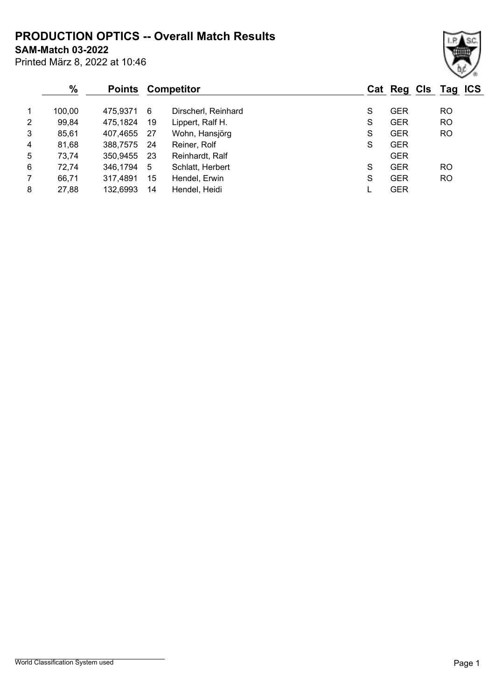**PRODUCTION OPTICS -- Overall Match Results**

**SAM-Match 03-2022**

| Printed März 8, 2022 at 10:46 |
|-------------------------------|
|                               |

## **% Points Competitor Cat Reg Cls Tag ICS** 1 100,00 475,9371 6 Dirscherl, Reinhard S GER RO 2 99,84 475,1824 19 Lippert, Ralf H. S GER RO 3 85,61 407,4655 27 Wohn, Hansjörg S GER RO 4 81,68 388,7575 24 Reiner, Rolf S GER 5 73,74 350,9455 23 Reinhardt, Ralf GER 6 72,74 346,1794 5 Schlatt, Herbert S GER RO 7 66,71 317,4891 15 Hendel, Erwin S GER RO

8 27,88 132,6993 14 Hendel, Heidi L GER

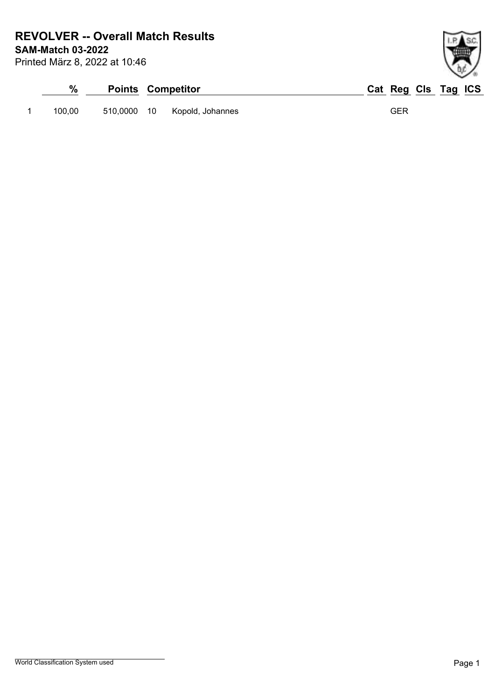**SAM-Match 03-2022 REVOLVER -- Overall Match Results**

Printed März 8, 2022 at 10:46

| %      | <b>Points Competitor</b>     | Cat Reg Cls Tag ICS |
|--------|------------------------------|---------------------|
| 100.00 | 510,0000 10 Kopold, Johannes | GER                 |